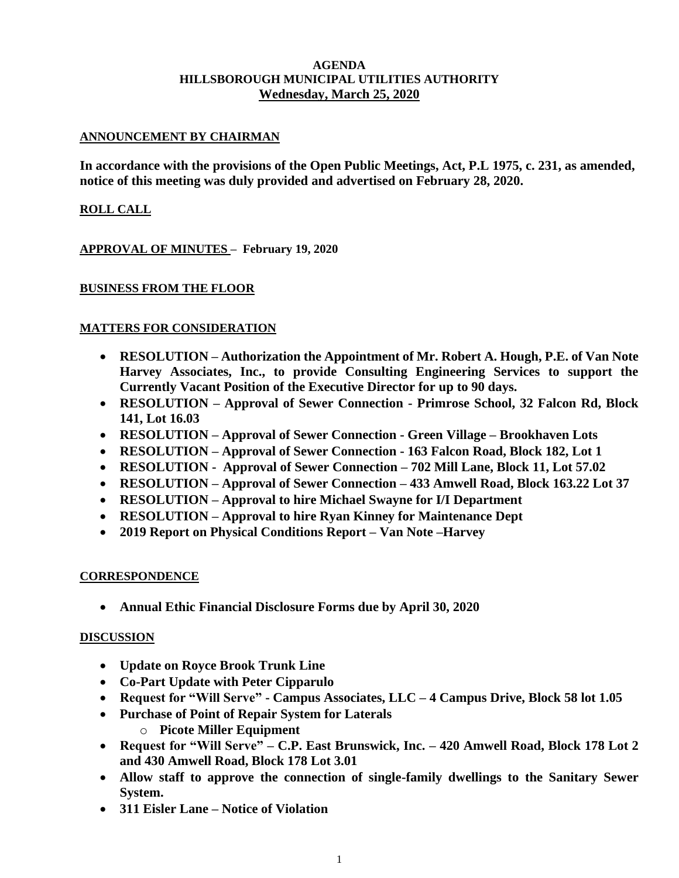### **AGENDA HILLSBOROUGH MUNICIPAL UTILITIES AUTHORITY Wednesday, March 25, 2020**

## **ANNOUNCEMENT BY CHAIRMAN**

**In accordance with the provisions of the Open Public Meetings, Act, P.L 1975, c. 231, as amended, notice of this meeting was duly provided and advertised on February 28, 2020.**

## **ROLL CALL**

**APPROVAL OF MINUTES – February 19, 2020**

### **BUSINESS FROM THE FLOOR**

### **MATTERS FOR CONSIDERATION**

- **RESOLUTION – Authorization the Appointment of Mr. Robert A. Hough, P.E. of Van Note Harvey Associates, Inc., to provide Consulting Engineering Services to support the Currently Vacant Position of the Executive Director for up to 90 days.**
- **RESOLUTION – Approval of Sewer Connection - Primrose School, 32 Falcon Rd, Block 141, Lot 16.03**
- **RESOLUTION – Approval of Sewer Connection - Green Village – Brookhaven Lots**
- **RESOLUTION – Approval of Sewer Connection - 163 Falcon Road, Block 182, Lot 1**
- **RESOLUTION Approval of Sewer Connection – 702 Mill Lane, Block 11, Lot 57.02**
- **RESOLUTION – Approval of Sewer Connection – 433 Amwell Road, Block 163.22 Lot 37**
- **RESOLUTION – Approval to hire Michael Swayne for I/I Department**
- **RESOLUTION – Approval to hire Ryan Kinney for Maintenance Dept**
- **2019 Report on Physical Conditions Report – Van Note –Harvey**

#### **CORRESPONDENCE**

• **Annual Ethic Financial Disclosure Forms due by April 30, 2020**

#### **DISCUSSION**

- **Update on Royce Brook Trunk Line**
- **Co-Part Update with Peter Cipparulo**
- **Request for "Will Serve" - Campus Associates, LLC – 4 Campus Drive, Block 58 lot 1.05**
- **Purchase of Point of Repair System for Laterals** 
	- o **Picote Miller Equipment**
- **Request for "Will Serve" – C.P. East Brunswick, Inc. – 420 Amwell Road, Block 178 Lot 2 and 430 Amwell Road, Block 178 Lot 3.01**
- **Allow staff to approve the connection of single-family dwellings to the Sanitary Sewer System.**
- **311 Eisler Lane – Notice of Violation**